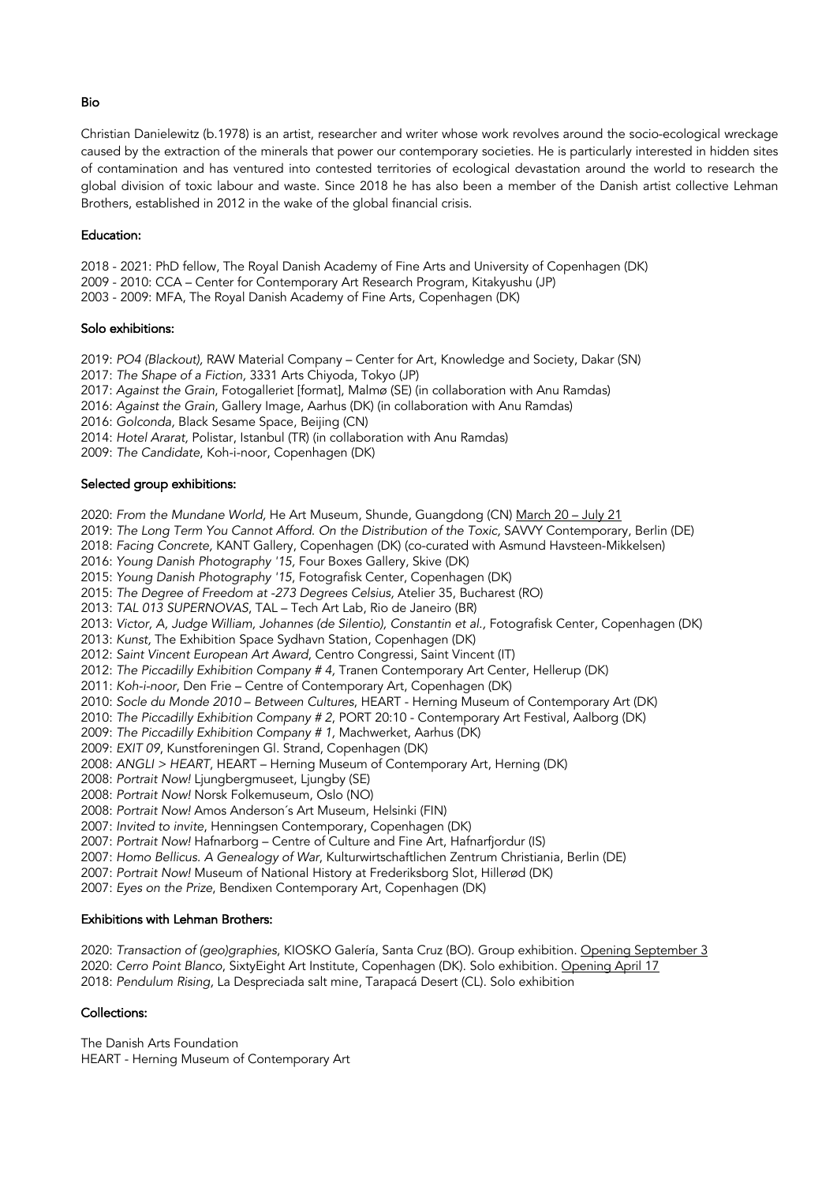#### Bio

Christian Danielewitz (b.1978) is an artist, researcher and writer whose work revolves around the socio-ecological wreckage caused by the extraction of the minerals that power our contemporary societies. He is particularly interested in hidden sites of contamination and has ventured into contested territories of ecological devastation around the world to research the global division of toxic labour and waste. Since 2018 he has also been a member of the Danish artist collective Lehman Brothers, established in 2012 in the wake of the global financial crisis.

### Education:

2018 - 2021: PhD fellow, The Royal Danish Academy of Fine Arts and University of Copenhagen (DK) 2009 - 2010: CCA – Center for Contemporary Art Research Program, Kitakyushu (JP)

2003 - 2009: MFA, The Royal Danish Academy of Fine Arts, Copenhagen (DK)

## Solo exhibitions:

2019: *PO4 (Blackout),* RAW Material Company – Center for Art, Knowledge and Society, Dakar (SN) 2017: *The Shape of a Fiction,* 3331 Arts Chiyoda, Tokyo (JP)

2017: *Against the Grain*, Fotogalleriet [format], Malmø (SE) (in collaboration with Anu Ramdas)

2016: *Against the Grain*, Gallery Image, Aarhus (DK) (in collaboration with Anu Ramdas)

2016: *Golconda,* Black Sesame Space, Beijing (CN)

2014: *Hotel Ararat,* Polistar, Istanbul (TR) (in collaboration with Anu Ramdas)

2009: *The Candidate*, Koh-i-noor, Copenhagen (DK)

## Selected group exhibitions:

2020: *From the Mundane World,* He Art Museum, Shunde, Guangdong (CN) March 20 – July 21

2019: *The Long Term You Cannot Afford*. *On the Distribution of the Toxic,* SAVVY Contemporary, Berlin (DE)

2018: *Facing Concrete,* KANT Gallery, Copenhagen (DK) (co-curated with Asmund Havsteen-Mikkelsen)

2016: *Young Danish Photography '15,* Four Boxes Gallery, Skive (DK)

2015: *Young Danish Photography '15*, Fotografisk Center, Copenhagen (DK)

2015: *The Degree of Freedom at -273 Degrees Celsius,* Atelier 35, Bucharest (RO)

2013: *TAL 013 SUPERNOVAS*, TAL – Tech Art Lab, Rio de Janeiro (BR)

2013: *Victor, A, Judge William, Johannes (de Silentio), Constantin et al.,* Fotografisk Center, Copenhagen (DK)

2013: *Kunst,* The Exhibition Space Sydhavn Station, Copenhagen (DK)

2012: *Saint Vincent European Art Award*, Centro Congressi, Saint Vincent (IT)

2012: *The Piccadilly Exhibition Company # 4,* Tranen Contemporary Art Center, Hellerup (DK)

2011: *Koh-i-noor*, Den Frie – Centre of Contemporary Art, Copenhagen (DK)

2010: *Socle du Monde 2010* – *Between Cultures*, HEART - Herning Museum of Contemporary Art (DK)

2010: *The Piccadilly Exhibition Company # 2*, PORT 20:10 - Contemporary Art Festival, Aalborg (DK)

2009: *The Piccadilly Exhibition Company # 1,* Machwerket, Aarhus (DK)

2009: *EXIT 09*, Kunstforeningen Gl. Strand, Copenhagen (DK)

2008: *ANGLI > HEART*, HEART – Herning Museum of Contemporary Art, Herning (DK)

2008: *Portrait Now!* Ljungbergmuseet, Ljungby (SE)

2008: *Portrait Now!* Norsk Folkemuseum, Oslo (NO)

2008: *Portrait Now!* Amos Anderson´s Art Museum, Helsinki (FIN)

2007: *Invited to invite*, Henningsen Contemporary, Copenhagen (DK)

2007: *Portrait Now!* Hafnarborg – Centre of Culture and Fine Art, Hafnarfjordur (IS)

2007: *Homo Bellicus. A Genealogy of War*, Kulturwirtschaftlichen Zentrum Christiania, Berlin (DE)

2007: *Portrait Now!* Museum of National History at Frederiksborg Slot, Hillerød (DK)

2007: *Eyes on the Prize*, Bendixen Contemporary Art, Copenhagen (DK)

# Exhibitions with Lehman Brothers:

2020: *Transaction of (geo)graphies*, KIOSKO Galería, Santa Cruz (BO). Group exhibition. Opening September 3 2020: *Cerro Point Blanco*, SixtyEight Art Institute, Copenhagen (DK). Solo exhibition. Opening April 17 2018: *Pendulum Rising,* La Despreciada salt mine, Tarapacá Desert (CL). Solo exhibition

# Collections:

The Danish Arts Foundation HEART - Herning Museum of Contemporary Art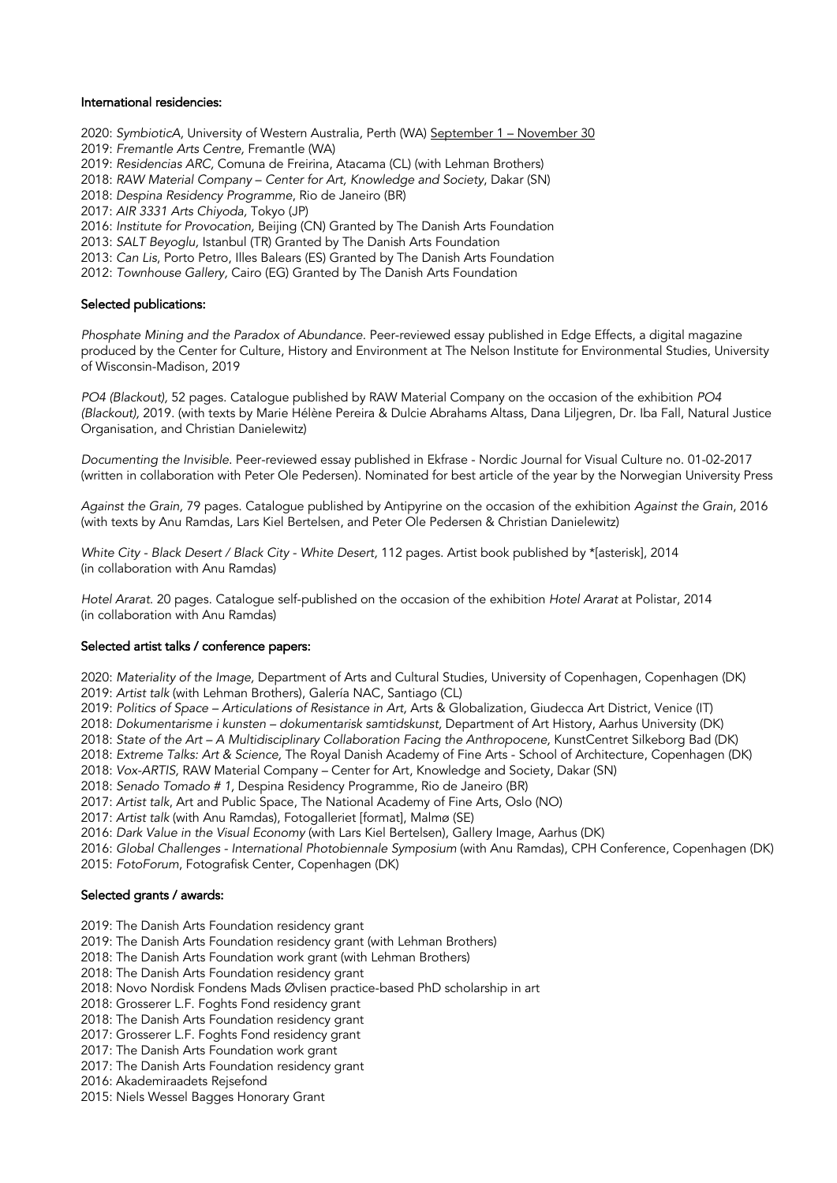#### International residencies:

2020: *SymbioticA,* University of Western Australia*,* Perth (WA) September 1 – November 30

2019: *Fremantle Arts Centre,* Fremantle (WA)

- 2019: *Residencias ARC,* Comuna de Freirina, Atacama (CL) (with Lehman Brothers)
- 2018: *RAW Material Company Center for Art, Knowledge and Society*, Dakar (SN)
- 2018: *Despina Residency Programme*, Rio de Janeiro (BR)

2017: *AIR 3331 Arts Chiyoda,* Tokyo (JP)

2016: *Institute for Provocation,* Beijing (CN) Granted by The Danish Arts Foundation

2013: *SALT Beyoglu,* Istanbul (TR) Granted by The Danish Arts Foundation

2013: *Can Lis*, Porto Petro, Illes Balears (ES) Granted by The Danish Arts Foundation

2012: *Townhouse Gallery,* Cairo (EG) Granted by The Danish Arts Foundation

### Selected publications:

*Phosphate Mining and the Paradox of Abundance.* Peer-reviewed essay published in Edge Effects, a digital magazine produced by the Center for Culture, History and Environment at The Nelson Institute for Environmental Studies, University of Wisconsin-Madison, 2019

*PO4 (Blackout),* 52 pages. Catalogue published by RAW Material Company on the occasion of the exhibition *PO4 (Blackout),* 2019. (with texts by Marie Hélène Pereira & Dulcie Abrahams Altass, Dana Liljegren, Dr. Iba Fall, Natural Justice Organisation, and Christian Danielewitz)

*Documenting the Invisible*. Peer-reviewed essay published in Ekfrase - Nordic Journal for Visual Culture no. 01-02-2017 (written in collaboration with Peter Ole Pedersen). Nominated for best article of the year by the Norwegian University Press

*Against the Grain,* 79 pages. Catalogue published by Antipyrine on the occasion of the exhibition *Against the Grain*, 2016 (with texts by Anu Ramdas, Lars Kiel Bertelsen, and Peter Ole Pedersen & Christian Danielewitz)

*White City - Black Desert / Black City - White Desert,* 112 pages. Artist book published by \*[asterisk], 2014 (in collaboration with Anu Ramdas)

*Hotel Ararat*. 20 pages. Catalogue self-published on the occasion of the exhibition *Hotel Ararat* at Polistar, 2014 (in collaboration with Anu Ramdas)

### Selected artist talks / conference papers:

2020: *Materiality of the Image,* Department of Arts and Cultural Studies, University of Copenhagen, Copenhagen (DK) 2019: *Artist talk* (with Lehman Brothers), Galería NAC, Santiago (CL)

2019: *Politics of Space – Articulations of Resistance in Art,* Arts & Globalization, Giudecca Art District, Venice (IT)

2018: *Dokumentarisme i kunsten – dokumentarisk samtidskunst,* Department of Art History, Aarhus University (DK)

2018: *State of the Art – A Multidisciplinary Collaboration Facing the Anthropocene,* KunstCentret Silkeborg Bad (DK)

2018: *Extreme Talks: Art & Science,* The Royal Danish Academy of Fine Arts - School of Architecture, Copenhagen (DK)

2018: *Vox-ARTIS,* RAW Material Company – Center for Art, Knowledge and Society, Dakar (SN)

2018: *Senado Tomado # 1,* Despina Residency Programme, Rio de Janeiro (BR)

2017: *Artist talk*, Art and Public Space, The National Academy of Fine Arts, Oslo (NO)

2017: *Artist talk* (with Anu Ramdas), Fotogalleriet [format], Malmø (SE)

2016: *Dark Value in the Visual Economy* (with Lars Kiel Bertelsen), Gallery Image, Aarhus (DK)

2016: *Global Challenges - International Photobiennale Symposium* (with Anu Ramdas), CPH Conference, Copenhagen (DK) 2015: *FotoForum*, Fotografisk Center, Copenhagen (DK)

### Selected grants / awards:

2019: The Danish Arts Foundation residency grant

2019: The Danish Arts Foundation residency grant (with Lehman Brothers)

2018: The Danish Arts Foundation work grant (with Lehman Brothers)

2018: The Danish Arts Foundation residency grant

2018: Novo Nordisk Fondens Mads Øvlisen practice-based PhD scholarship in art

2018: Grosserer L.F. Foghts Fond residency grant

2018: The Danish Arts Foundation residency grant

2017: Grosserer L.F. Foghts Fond residency grant

2017: The Danish Arts Foundation work grant

2017: The Danish Arts Foundation residency grant

2016: Akademiraadets Rejsefond

2015: Niels Wessel Bagges Honorary Grant